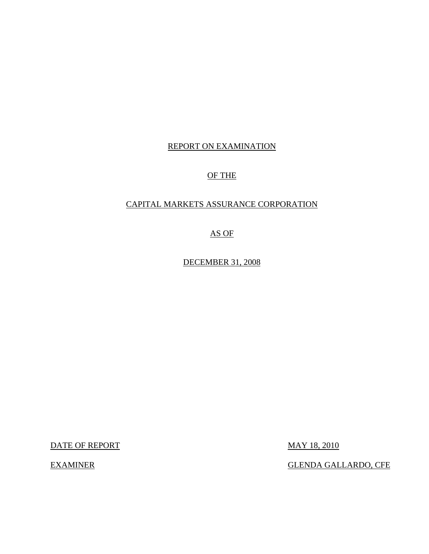### REPORT ON EXAMINATION

### OF THE

### CAPITAL MARKETS ASSURANCE CORPORATION

AS OF

DECEMBER 31, 2008

DATE OF REPORT MAY 18, 2010

EXAMINER GLENDA GALLARDO, CFE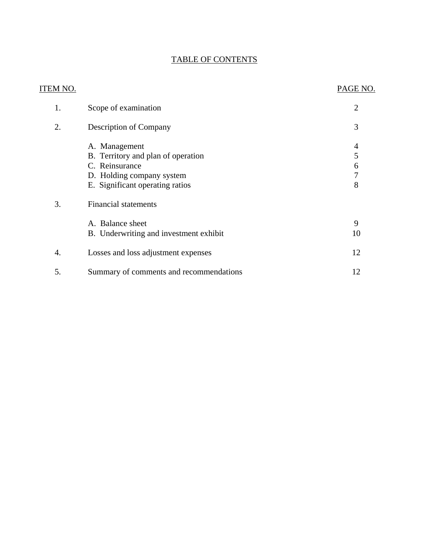## TABLE OF CONTENTS

| <b>ITEM NO.</b> |                                         | PAGE NO.       |
|-----------------|-----------------------------------------|----------------|
| 1.              | Scope of examination                    | $\overline{2}$ |
| 2.              | <b>Description of Company</b>           | 3              |
|                 | A. Management                           | 4              |
|                 | B. Territory and plan of operation      | 5              |
|                 | C. Reinsurance                          | 6              |
|                 | D. Holding company system               | 7              |
|                 | E. Significant operating ratios         | 8              |
| 3.              | <b>Financial statements</b>             |                |
|                 | A. Balance sheet                        | 9              |
|                 | B. Underwriting and investment exhibit  | 10             |
| 4.              | Losses and loss adjustment expenses     | 12             |
| 5.              | Summary of comments and recommendations | 12             |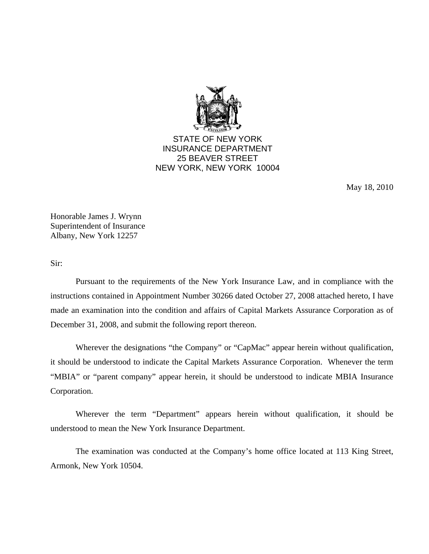

STATE OF NEW YORK INSURANCE DEPARTMENT 25 BEAVER STREET NEW YORK, NEW YORK 10004

May 18, 2010

Honorable James J. Wrynn Superintendent of Insurance Albany, New York 12257

Sir:

Pursuant to the requirements of the New York Insurance Law, and in compliance with the instructions contained in Appointment Number 30266 dated October 27, 2008 attached hereto, I have made an examination into the condition and affairs of Capital Markets Assurance Corporation as of December 31, 2008, and submit the following report thereon.

Wherever the designations "the Company" or "CapMac" appear herein without qualification, it should be understood to indicate the Capital Markets Assurance Corporation. Whenever the term "MBIA" or "parent company" appear herein, it should be understood to indicate MBIA Insurance Corporation.

Wherever the term "Department" appears herein without qualification, it should be understood to mean the New York Insurance Department.

The examination was conducted at the Company's home office located at 113 King Street, Armonk, New York 10504.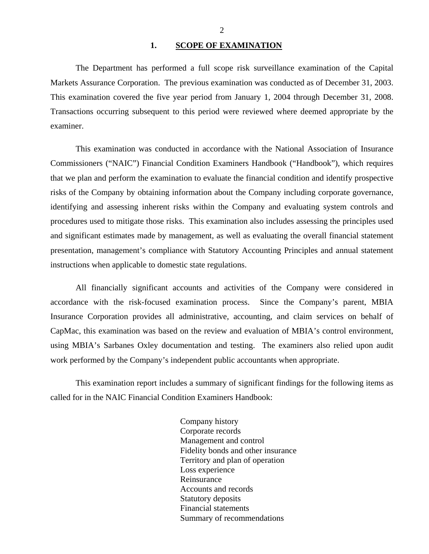#### 1. SCOPE OF EXAMINATION

<span id="page-3-0"></span>The Department has performed a full scope risk surveillance examination of the Capital Markets Assurance Corporation. The previous examination was conducted as of December 31, 2003. This examination covered the five year period from January 1, 2004 through December 31, 2008. Transactions occurring subsequent to this period were reviewed where deemed appropriate by the examiner.

This examination was conducted in accordance with the National Association of Insurance Commissioners ("NAIC") Financial Condition Examiners Handbook ("Handbook"), which requires that we plan and perform the examination to evaluate the financial condition and identify prospective risks of the Company by obtaining information about the Company including corporate governance, identifying and assessing inherent risks within the Company and evaluating system controls and procedures used to mitigate those risks. This examination also includes assessing the principles used and significant estimates made by management, as well as evaluating the overall financial statement presentation, management's compliance with Statutory Accounting Principles and annual statement instructions when applicable to domestic state regulations.

All financially significant accounts and activities of the Company were considered in accordance with the risk-focused examination process. Since the Company's parent, MBIA Insurance Corporation provides all administrative, accounting, and claim services on behalf of CapMac, this examination was based on the review and evaluation of MBIA's control environment, using MBIA's Sarbanes Oxley documentation and testing. The examiners also relied upon audit work performed by the Company's independent public accountants when appropriate.

This examination report includes a summary of significant findings for the following items as called for in the NAIC Financial Condition Examiners Handbook:

> Company history Corporate records Management and control Fidelity bonds and other insurance Territory and plan of operation Loss experience Reinsurance Accounts and records Statutory deposits Financial statements Summary of recommendations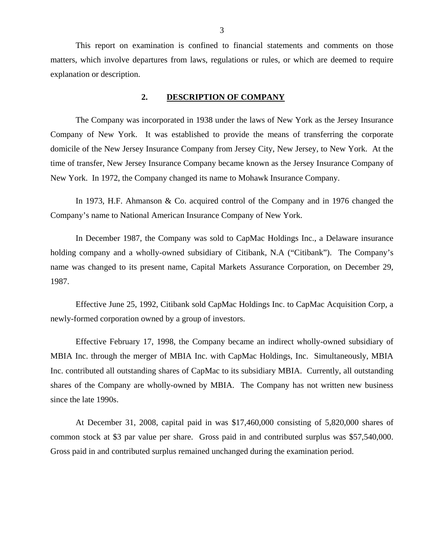<span id="page-4-0"></span>This report on examination is confined to financial statements and comments on those matters, which involve departures from laws, regulations or rules, or which are deemed to require explanation or description.

#### **2. DESCRIPTION OF COMPANY**

The Company was incorporated in 1938 under the laws of New York as the Jersey Insurance Company of New York. It was established to provide the means of transferring the corporate domicile of the New Jersey Insurance Company from Jersey City, New Jersey, to New York. At the time of transfer, New Jersey Insurance Company became known as the Jersey Insurance Company of New York. In 1972, the Company changed its name to Mohawk Insurance Company.

In 1973, H.F. Ahmanson & Co. acquired control of the Company and in 1976 changed the Company's name to National American Insurance Company of New York.

In December 1987, the Company was sold to CapMac Holdings Inc., a Delaware insurance holding company and a wholly-owned subsidiary of Citibank, N.A ("Citibank"). The Company's name was changed to its present name, Capital Markets Assurance Corporation, on December 29, 1987.

Effective June 25, 1992, Citibank sold CapMac Holdings Inc. to CapMac Acquisition Corp, a newly-formed corporation owned by a group of investors.

Effective February 17, 1998, the Company became an indirect wholly-owned subsidiary of MBIA Inc. through the merger of MBIA Inc. with CapMac Holdings, Inc. Simultaneously, MBIA Inc. contributed all outstanding shares of CapMac to its subsidiary MBIA. Currently, all outstanding shares of the Company are wholly-owned by MBIA. The Company has not written new business since the late 1990s.

At December 31, 2008, capital paid in was \$17,460,000 consisting of 5,820,000 shares of common stock at \$3 par value per share. Gross paid in and contributed surplus was \$57,540,000. Gross paid in and contributed surplus remained unchanged during the examination period.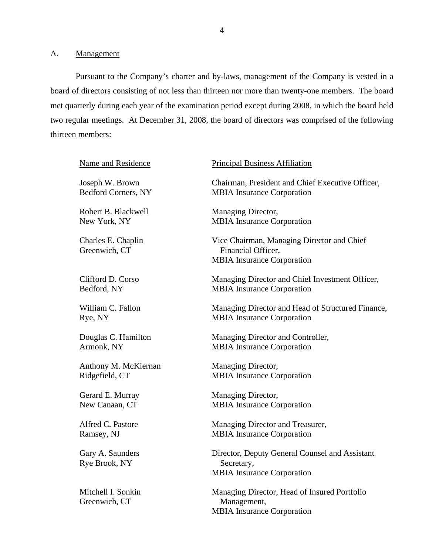<span id="page-5-0"></span>A. Management

Pursuant to the Company's charter and by-laws, management of the Company is vested in a board of directors consisting of not less than thirteen nor more than twenty-one members. The board met quarterly during each year of the examination period except during 2008, in which the board held two regular meetings. At December 31, 2008, the board of directors was comprised of the following thirteen members:

| Name and Residence                  | <b>Principal Business Affiliation</b>                                                                 |
|-------------------------------------|-------------------------------------------------------------------------------------------------------|
| Joseph W. Brown                     | Chairman, President and Chief Executive Officer,                                                      |
| <b>Bedford Corners, NY</b>          | <b>MBIA</b> Insurance Corporation                                                                     |
| Robert B. Blackwell                 | Managing Director,                                                                                    |
| New York, NY                        | <b>MBIA</b> Insurance Corporation                                                                     |
| Charles E. Chaplin<br>Greenwich, CT | Vice Chairman, Managing Director and Chief<br>Financial Officer,<br><b>MBIA</b> Insurance Corporation |
| Clifford D. Corso                   | Managing Director and Chief Investment Officer,                                                       |
| Bedford, NY                         | <b>MBIA</b> Insurance Corporation                                                                     |
| William C. Fallon                   | Managing Director and Head of Structured Finance,                                                     |
| Rye, NY                             | <b>MBIA</b> Insurance Corporation                                                                     |
| Douglas C. Hamilton                 | Managing Director and Controller,                                                                     |
| Armonk, NY                          | <b>MBIA</b> Insurance Corporation                                                                     |
| Anthony M. McKiernan                | Managing Director,                                                                                    |
| Ridgefield, CT                      | <b>MBIA</b> Insurance Corporation                                                                     |
| Gerard E. Murray                    | Managing Director,                                                                                    |
| New Canaan, CT                      | <b>MBIA</b> Insurance Corporation                                                                     |
| Alfred C. Pastore                   | Managing Director and Treasurer,                                                                      |
| Ramsey, NJ                          | <b>MBIA</b> Insurance Corporation                                                                     |
| Gary A. Saunders<br>Rye Brook, NY   | Director, Deputy General Counsel and Assistant<br>Secretary,<br><b>MBIA</b> Insurance Corporation     |
| Mitchell I. Sonkin<br>Greenwich, CT | Managing Director, Head of Insured Portfolio<br>Management,<br><b>MBIA</b> Insurance Corporation      |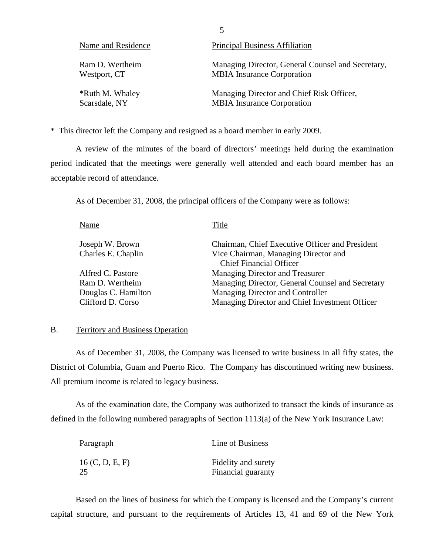<span id="page-6-0"></span>

| Name and Residence | <b>Principal Business Affiliation</b>             |
|--------------------|---------------------------------------------------|
| Ram D. Wertheim    | Managing Director, General Counsel and Secretary, |
| Westport, CT       | <b>MBIA</b> Insurance Corporation                 |
| *Ruth M. Whaley    | Managing Director and Chief Risk Officer,         |
| Scarsdale, NY      | <b>MBIA</b> Insurance Corporation                 |

\* This director left the Company and resigned as a board member in early 2009.

A review of the minutes of the board of directors' meetings held during the examination period indicated that the meetings were generally well attended and each board member has an acceptable record of attendance.

As of December 31, 2008, the principal officers of the Company were as follows:

| Chairman, Chief Executive Officer and President<br>Joseph W. Brown<br>Charles E. Chaplin<br>Vice Chairman, Managing Director and<br><b>Chief Financial Officer</b><br>Managing Director and Treasurer<br>Alfred C. Pastore<br>Managing Director, General Counsel and Secretary<br>Ram D. Wertheim<br>Managing Director and Controller<br>Douglas C. Hamilton<br>Clifford D. Corso<br>Managing Director and Chief Investment Officer | Name | Title |
|-------------------------------------------------------------------------------------------------------------------------------------------------------------------------------------------------------------------------------------------------------------------------------------------------------------------------------------------------------------------------------------------------------------------------------------|------|-------|
|                                                                                                                                                                                                                                                                                                                                                                                                                                     |      |       |
|                                                                                                                                                                                                                                                                                                                                                                                                                                     |      |       |
|                                                                                                                                                                                                                                                                                                                                                                                                                                     |      |       |
|                                                                                                                                                                                                                                                                                                                                                                                                                                     |      |       |
|                                                                                                                                                                                                                                                                                                                                                                                                                                     |      |       |
|                                                                                                                                                                                                                                                                                                                                                                                                                                     |      |       |
|                                                                                                                                                                                                                                                                                                                                                                                                                                     |      |       |

#### B. Territory and Business Operation

As of December 31, 2008, the Company was licensed to write business in all fifty states, the District of Columbia, Guam and Puerto Rico. The Company has discontinued writing new business. All premium income is related to legacy business.

As of the examination date, the Company was authorized to transact the kinds of insurance as defined in the following numbered paragraphs of Section 1113(a) of the New York Insurance Law:

| <u>Paragraph</u> | Line of Business    |
|------------------|---------------------|
| 16 (C, D, E, F)  | Fidelity and surety |
| 25               | Financial guaranty  |

Based on the lines of business for which the Company is licensed and the Company's current capital structure, and pursuant to the requirements of Articles 13, 41 and 69 of the New York

5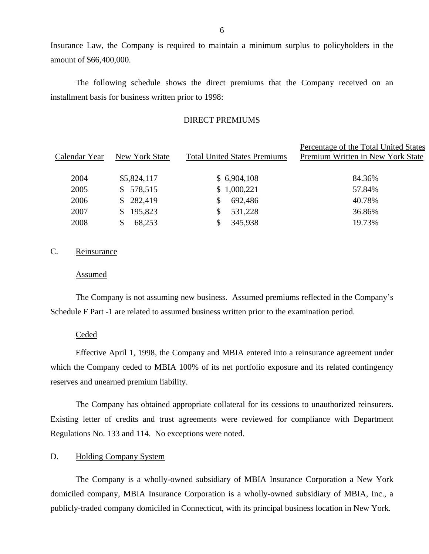Insurance Law, the Company is required to maintain a minimum surplus to policyholders in the amount of \$66,400,000.

The following schedule shows the direct premiums that the Company received on an installment basis for business written prior to 1998:

#### DIRECT PREMIUMS

| Calendar Year | New York State | <b>Total United States Premiums</b> | Percentage of the Total United States<br>Premium Written in New York State |
|---------------|----------------|-------------------------------------|----------------------------------------------------------------------------|
| 2004          | \$5,824,117    | \$6,904,108                         | 84.36%                                                                     |
| 2005          | \$578,515      | \$1,000,221                         | 57.84%                                                                     |
| 2006          | \$282,419      | 692,486                             | 40.78%                                                                     |
| 2007          | 195,823<br>S.  | 531,228                             | 36.86%                                                                     |
| 2008          | 68,253         | 345,938                             | 19.73%                                                                     |

### C. Reinsurance

#### Assumed

The Company is not assuming new business. Assumed premiums reflected in the Company's Schedule F Part -1 are related to assumed business written prior to the examination period.

#### Ceded

Effective April 1, 1998, the Company and MBIA entered into a reinsurance agreement under which the Company ceded to MBIA 100% of its net portfolio exposure and its related contingency reserves and unearned premium liability.

The Company has obtained appropriate collateral for its cessions to unauthorized reinsurers. Existing letter of credits and trust agreements were reviewed for compliance with Department Regulations No. 133 and 114. No exceptions were noted.

#### D. Holding Company System

The Company is a wholly-owned subsidiary of MBIA Insurance Corporation a New York domiciled company, MBIA Insurance Corporation is a wholly-owned subsidiary of MBIA, Inc., a publicly-traded company domiciled in Connecticut, with its principal business location in New York.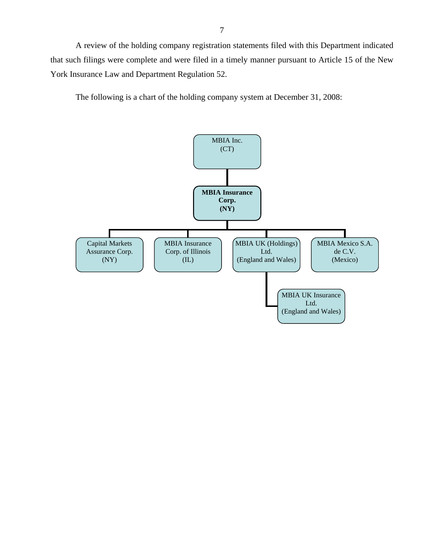<span id="page-8-0"></span>A review of the holding company registration statements filed with this Department indicated that such filings were complete and were filed in a timely manner pursuant to Article 15 of the New York Insurance Law and Department Regulation 52.

The following is a chart of the holding company system at December 31, 2008:

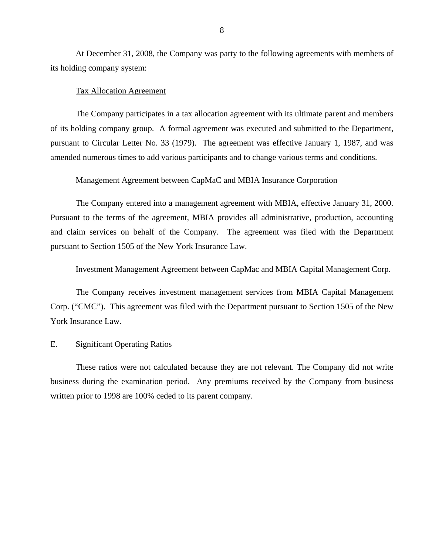<span id="page-9-0"></span>At December 31, 2008, the Company was party to the following agreements with members of its holding company system:

#### Tax Allocation Agreement

The Company participates in a tax allocation agreement with its ultimate parent and members of its holding company group. A formal agreement was executed and submitted to the Department, pursuant to Circular Letter No. 33 (1979). The agreement was effective January 1, 1987, and was amended numerous times to add various participants and to change various terms and conditions.

#### Management Agreement between CapMaC and MBIA Insurance Corporation

The Company entered into a management agreement with MBIA, effective January 31, 2000. Pursuant to the terms of the agreement, MBIA provides all administrative, production, accounting and claim services on behalf of the Company. The agreement was filed with the Department pursuant to Section 1505 of the New York Insurance Law.

#### Investment Management Agreement between CapMac and MBIA Capital Management Corp.

The Company receives investment management services from MBIA Capital Management Corp. ("CMC"). This agreement was filed with the Department pursuant to Section 1505 of the New York Insurance Law.

#### E. Significant Operating Ratios

These ratios were not calculated because they are not relevant. The Company did not write business during the examination period. Any premiums received by the Company from business written prior to 1998 are 100% ceded to its parent company.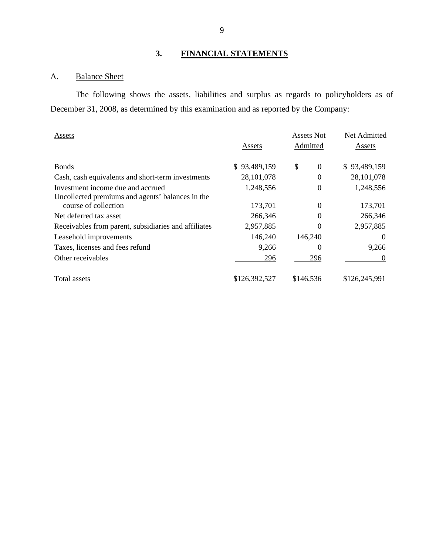# **3. FINANCIAL STATEMENTS**

## A. Balance Sheet

The following shows the assets, liabilities and surplus as regards to policyholders as of December 31, 2008, as determined by this examination and as reported by the Company:

| Assets                                                                   |              | Assets Not           | Net Admitted  |
|--------------------------------------------------------------------------|--------------|----------------------|---------------|
|                                                                          | Assets       | Admitted             | Assets        |
| <b>Bonds</b>                                                             | \$93,489,159 | \$<br>$\overline{0}$ | \$93,489,159  |
| Cash, cash equivalents and short-term investments                        | 28, 101, 078 | $\Omega$             | 28, 101, 078  |
| Investment income due and accrued                                        | 1,248,556    | 0                    | 1,248,556     |
| Uncollected premiums and agents' balances in the<br>course of collection | 173,701      | 0                    | 173,701       |
| Net deferred tax asset                                                   | 266,346      | 0                    | 266,346       |
| Receivables from parent, subsidiaries and affiliates                     | 2,957,885    | 0                    | 2,957,885     |
| Leasehold improvements                                                   | 146,240      | 146,240              | $\theta$      |
| Taxes, licenses and fees refund                                          | 9,266        | $\theta$             | 9,266         |
| Other receivables                                                        | 296          | 296                  | $\theta$      |
| Total assets                                                             | 126.392.527  | \$146,536            | \$126.245.991 |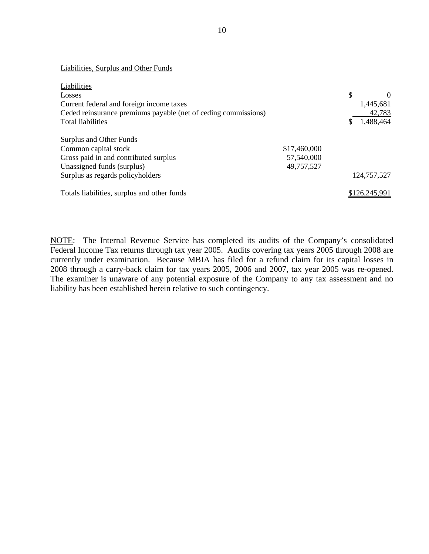Liabilities, Surplus and Other Funds

| Liabilities                                                    |              |   |               |
|----------------------------------------------------------------|--------------|---|---------------|
| Losses                                                         |              | S | $\Omega$      |
| Current federal and foreign income taxes                       |              |   | 1,445,681     |
| Ceded reinsurance premiums payable (net of ceding commissions) |              |   | 42,783        |
| <b>Total liabilities</b>                                       |              |   | 1,488,464     |
| Surplus and Other Funds                                        |              |   |               |
| Common capital stock                                           | \$17,460,000 |   |               |
| Gross paid in and contributed surplus                          | 57,540,000   |   |               |
| Unassigned funds (surplus)                                     | 49,757,527   |   |               |
| Surplus as regards policyholders                               |              |   | 124,757,527   |
| Totals liabilities, surplus and other funds                    |              |   | \$126,245,991 |

NOTE: The Internal Revenue Service has completed its audits of the Company's consolidated Federal Income Tax returns through tax year 2005. Audits covering tax years 2005 through 2008 are currently under examination. Because MBIA has filed for a refund claim for its capital losses in 2008 through a carry-back claim for tax years 2005, 2006 and 2007, tax year 2005 was re-opened. The examiner is unaware of any potential exposure of the Company to any tax assessment and no liability has been established herein relative to such contingency.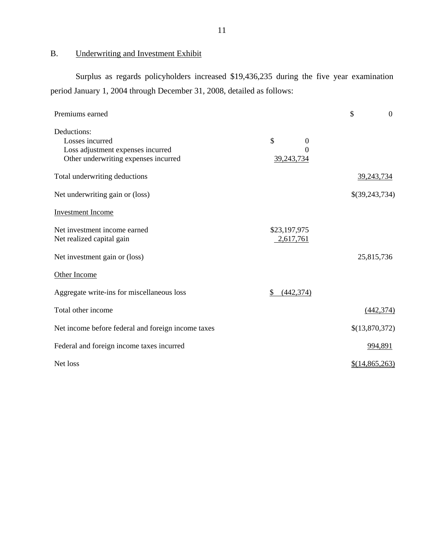# B. Underwriting and Investment Exhibit

Surplus as regards policyholders increased \$19,436,235 during the five year examination period January 1, 2004 through December 31, 2008, detailed as follows:

| Premiums earned                                                                                             |                                   | \$<br>$\mathbf{0}$ |
|-------------------------------------------------------------------------------------------------------------|-----------------------------------|--------------------|
| Deductions:<br>Losses incurred<br>Loss adjustment expenses incurred<br>Other underwriting expenses incurred | \$<br>$\theta$<br>0<br>39,243,734 |                    |
| Total underwriting deductions                                                                               |                                   | 39,243,734         |
| Net underwriting gain or (loss)                                                                             |                                   | \$(39,243,734)     |
| <b>Investment Income</b>                                                                                    |                                   |                    |
| Net investment income earned<br>Net realized capital gain                                                   | \$23,197,975<br>2,617,761         |                    |
| Net investment gain or (loss)                                                                               |                                   | 25,815,736         |
| Other Income                                                                                                |                                   |                    |
| Aggregate write-ins for miscellaneous loss                                                                  | \$<br>(442, 374)                  |                    |
| Total other income                                                                                          |                                   | (442, 374)         |
| Net income before federal and foreign income taxes                                                          |                                   | \$(13,870,372)     |
| Federal and foreign income taxes incurred                                                                   |                                   | 994,891            |
| Net loss                                                                                                    |                                   | \$(14,865,263)     |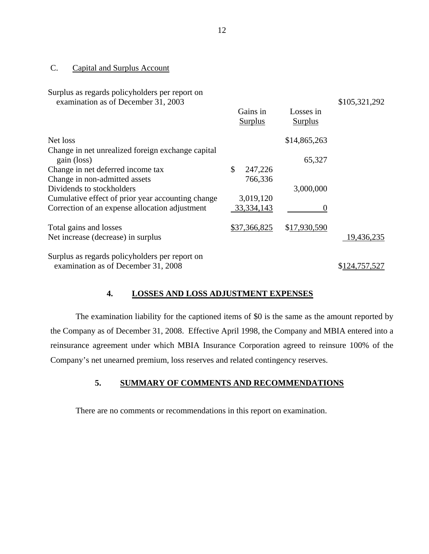#### C. Capital and Surplus Account

| Surplus as regards policyholders per report on<br>examination as of December 31, 2003 | Gains in<br><b>Surplus</b> | Losses in<br><b>Surplus</b> | \$105,321,292 |
|---------------------------------------------------------------------------------------|----------------------------|-----------------------------|---------------|
| Net loss                                                                              |                            | \$14,865,263                |               |
| Change in net unrealized foreign exchange capital<br>gain (loss)                      |                            | 65,327                      |               |
| Change in net deferred income tax                                                     | \$<br>247,226              |                             |               |
| Change in non-admitted assets                                                         | 766,336                    |                             |               |
| Dividends to stockholders                                                             |                            | 3,000,000                   |               |
| Cumulative effect of prior year accounting change                                     | 3,019,120                  |                             |               |
| Correction of an expense allocation adjustment                                        | 33, 334, 143               |                             |               |
| Total gains and losses                                                                | \$37,366,825               | \$17,930,590                |               |
| Net increase (decrease) in surplus                                                    |                            |                             | 19,436,235    |
| Surplus as regards policyholders per report on<br>examination as of December 31, 2008 |                            |                             | \$124,757,527 |
|                                                                                       |                            |                             |               |

### **4. LOSSES AND LOSS ADJUSTMENT EXPENSES**

The examination liability for the captioned items of \$0 is the same as the amount reported by the Company as of December 31, 2008. Effective April 1998, the Company and MBIA entered into a reinsurance agreement under which MBIA Insurance Corporation agreed to reinsure 100% of the Company's net unearned premium, loss reserves and related contingency reserves.

## **5. SUMMARY OF COMMENTS AND RECOMMENDATIONS**

There are no comments or recommendations in this report on examination.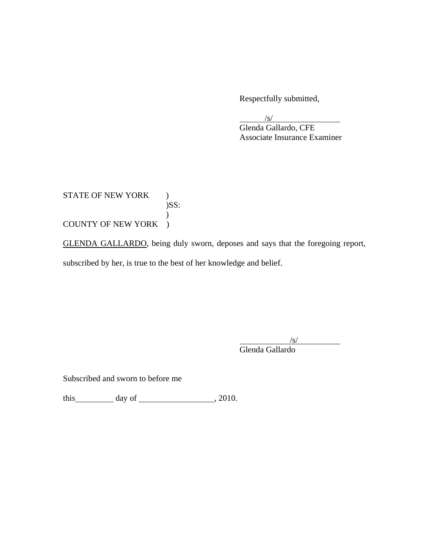Respectfully submitted,

 $\frac{1}{s}$ 

 Glenda Gallardo, CFE Associate Insurance Examiner

STATE OF NEW YORK )  $)$ SS:  $\mathcal{L}$ COUNTY OF NEW YORK )

GLENDA GALLARDO, being duly sworn, deposes and says that the foregoing report, subscribed by her, is true to the best of her knowledge and belief.

/s/

Glenda Gallardo

Subscribed and sworn to before me

this  $\qquad \qquad$  day of  $\qquad \qquad$  , 2010.